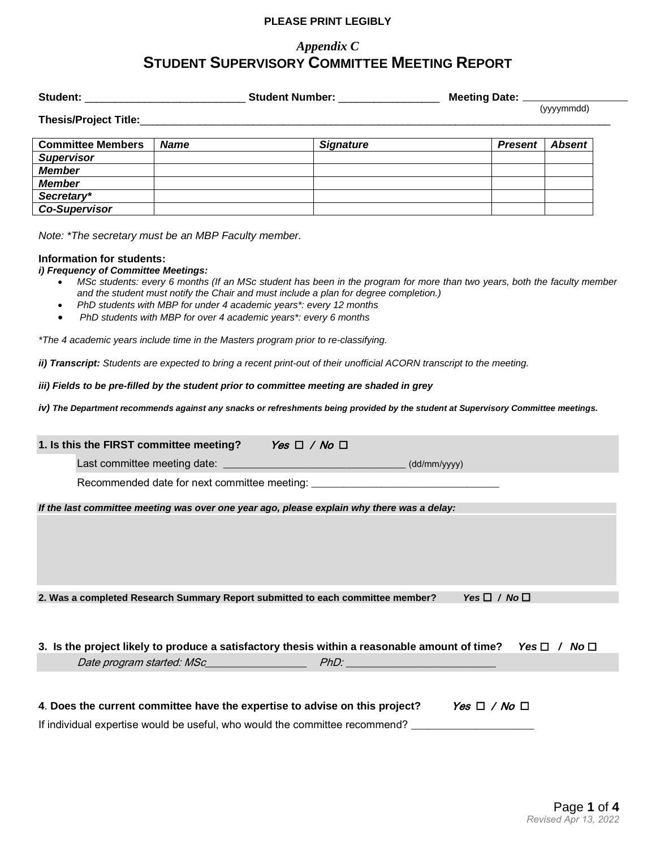# *Appendix C* **STUDENT SUPERVISORY COMMITTEE MEETING REPORT**

| Student:                 |             | <b>Student Number:</b> | Meeting Date: _ |               |  |
|--------------------------|-------------|------------------------|-----------------|---------------|--|
| Thesis/Project Title:    |             |                        | (yyyymmdd)      |               |  |
| <b>Committee Members</b> | <b>Name</b> | <b>Signature</b>       | <b>Present</b>  | <b>Absent</b> |  |
| <b>Supervisor</b>        |             |                        |                 |               |  |
| <b>Member</b>            |             |                        |                 |               |  |
| <b>Member</b>            |             |                        |                 |               |  |
| Secretary*               |             |                        |                 |               |  |
| <b>Co-Supervisor</b>     |             |                        |                 |               |  |

*Note: \*The secretary must be an MBP Faculty member.*

### **Information for students:**

#### *i) Frequency of Committee Meetings:*

- *MSc students: every 6 months (If an MSc student has been in the program for more than two years, both the faculty member and the student must notify the Chair and must include a plan for degree completion.)*
- *PhD students with MBP for under 4 academic years\*: every 12 months*
- *PhD students with MBP for over 4 academic years\*: every 6 months*

*\*The 4 academic years include time in the Masters program prior to re-classifying.*

*ii) Transcript: Students are expected to bring a recent print-out of their unofficial ACORN transcript to the meeting.*

*iii) Fields to be pre-filled by the student prior to committee meeting are shaded in grey*

*iv) The Department recommends against any snacks or refreshments being provided by the student at Supervisory Committee meetings.*

| 1. Is this the FIRST committee meeting? Yes $\Box$ / No $\Box$                                                       |  |                        |  |  |
|----------------------------------------------------------------------------------------------------------------------|--|------------------------|--|--|
|                                                                                                                      |  |                        |  |  |
| Recommended date for next committee meeting: ___________________________________                                     |  |                        |  |  |
| If the last committee meeting was over one year ago, please explain why there was a delay:                           |  |                        |  |  |
|                                                                                                                      |  |                        |  |  |
| 2. Was a completed Research Summary Report submitted to each committee member?                                       |  | Yes $\Box$ / No $\Box$ |  |  |
| 3. Is the project likely to produce a satisfactory thesis within a reasonable amount of time? Yes $\Box$ / No $\Box$ |  |                        |  |  |
|                                                                                                                      |  |                        |  |  |
|                                                                                                                      |  |                        |  |  |
| 4. Does the current committee have the expertise to advise on this project?<br>Yes $\Box$ / No $\Box$                |  |                        |  |  |
| If individual expertise would be useful, who would the committee recommend?                                          |  |                        |  |  |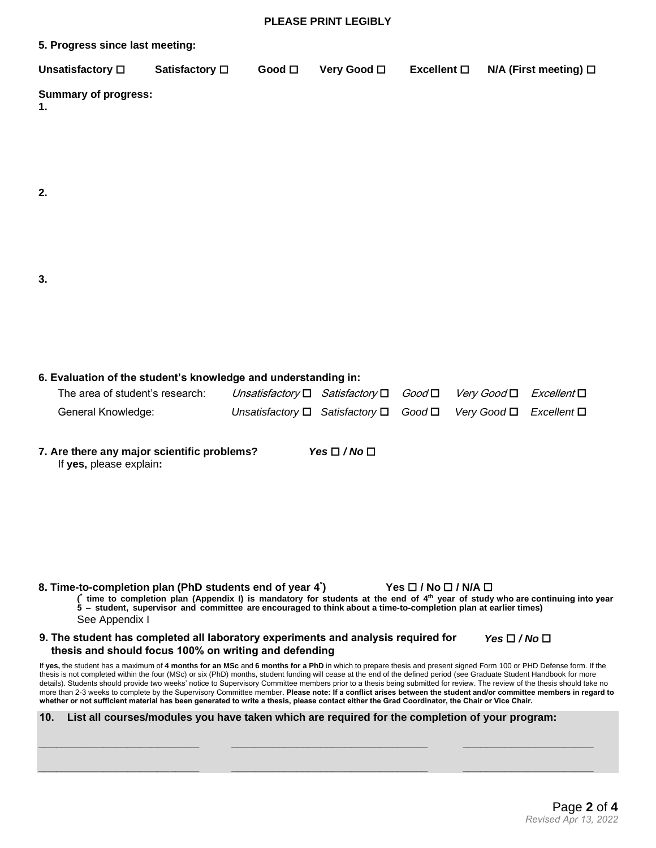| 5. Progress since last meeting: |                       |                |                     |                    |                              |
|---------------------------------|-----------------------|----------------|---------------------|--------------------|------------------------------|
| Unsatisfactory $\square$        | Satisfactory <b>□</b> | Good $\square$ | Very Good $\square$ | Excellent <b>□</b> | $N/A$ (First meeting) $\Box$ |
| Summary of progress:            |                       |                |                     |                    |                              |

**2.**

**3.**

**6. Evaluation of the student's knowledge and understanding in:**

| The area of student's research: | Unsatisfactory $\Box$ Satisfactory $\Box$ Good $\Box$ Very Good $\Box$ Excellent $\Box$ |  |  |
|---------------------------------|-----------------------------------------------------------------------------------------|--|--|
| General Knowledge:              | Unsatisfactory $\Box$ Satisfactory $\Box$ Good $\Box$ Very Good $\Box$ Excellent $\Box$ |  |  |

**7. Are there any major scientific problems?** *Yes / No* If **yes,** please explain**:**

**8. Time-to-completion plan (PhD students end of year 4 \* ) Yes / No / N/A ( \* time to completion plan (Appendix I) is mandatory for students at the end of 4th year of study who are continuing into year 5 – student, supervisor and committee are encouraged to think about a time-to-completion plan at earlier times)** See Appendix I

**9. The student has completed all laboratory experiments and analysis required for thesis and should focus 100% on writing and defending**  $Yes \Box / No \Box$ 

If **yes,** the student has a maximum of **4 months for an MSc** and **6 months for a PhD** in which to prepare thesis and present signed Form 100 or PHD Defense form. If the thesis is not completed within the four (MSc) or six (PhD) months, student funding will cease at the end of the defined period (see Graduate Student Handbook for more details). Students should provide two weeks' notice to Supervisory Committee members prior to a thesis being submitted for review. The review of the thesis should take no more than 2-3 weeks to complete by the Supervisory Committee member. **Please note: If a conflict arises between the student and/or committee members in regard to whether or not sufficient material has been generated to write a thesis, please contact either the Grad Coordinator, the Chair or Vice Chair.**

|  | 10. List all courses/modules you have taken which are required for the completion of your program: |  |  |  |  |
|--|----------------------------------------------------------------------------------------------------|--|--|--|--|
|--|----------------------------------------------------------------------------------------------------|--|--|--|--|

**\_\_\_\_\_\_\_\_\_\_\_\_\_\_\_\_\_\_\_\_\_\_\_\_\_\_\_ \_\_\_\_\_\_\_\_\_\_\_\_\_\_\_\_\_\_\_\_\_\_\_\_\_\_\_\_\_\_\_\_\_ \_\_\_\_\_\_\_\_\_\_\_\_\_\_\_\_\_\_\_\_\_\_**

**\_\_\_\_\_\_\_\_\_\_\_\_\_\_\_\_\_\_\_\_\_\_\_\_\_\_\_ \_\_\_\_\_\_\_\_\_\_\_\_\_\_\_\_\_\_\_\_\_\_\_\_\_\_\_\_\_\_\_\_\_ \_\_\_\_\_\_\_\_\_\_\_\_\_\_\_\_\_\_\_\_\_\_**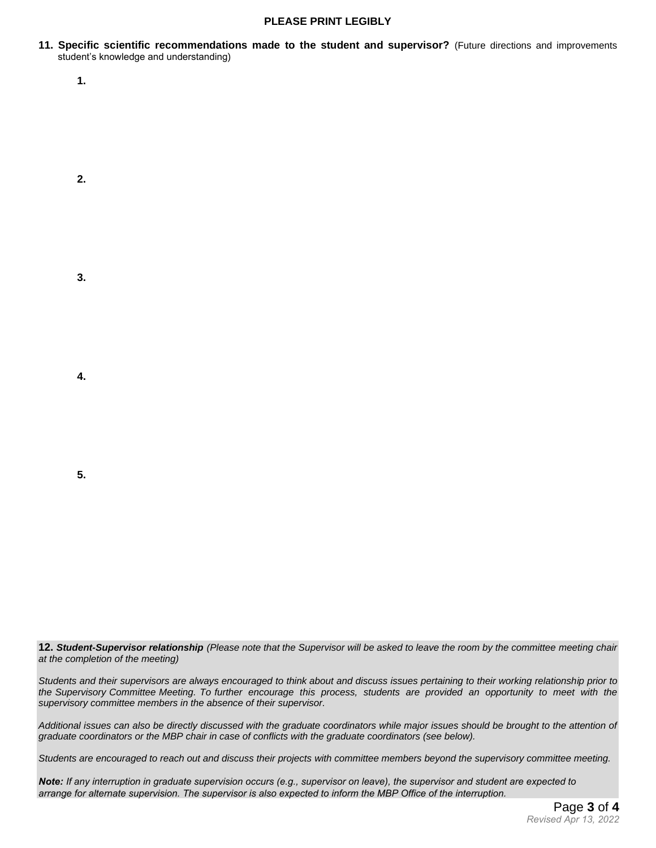**11. Specific scientific recommendations made to the student and supervisor?** (Future directions and improvements student's knowledge and understanding)

**1.**

**3.**

**2.**

**4.**

**5.**

12. Student-Supervisor relationship (Please note that the Supervisor will be asked to leave the room by the committee meeting chair *at the completion of the meeting)*

*Students and their supervisors are always encouraged to think about and discuss issues pertaining to their working relationship prior to the Supervisory Committee Meeting. To further encourage this process, students are provided an opportunity to meet with the supervisory committee members in the absence of their supervisor.*

*Additional issues can also be directly discussed with the graduate coordinators while major issues should be brought to the attention of graduate coordinators or the MBP chair in case of conflicts with the graduate coordinators (see below).*

*Students are encouraged to reach out and discuss their projects with committee members beyond the supervisory committee meeting.*

*Note: If any interruption in graduate supervision occurs (e.g., supervisor on leave), the supervisor and student are expected to arrange for alternate supervision. The supervisor is also expected to inform the MBP Office of the interruption.*